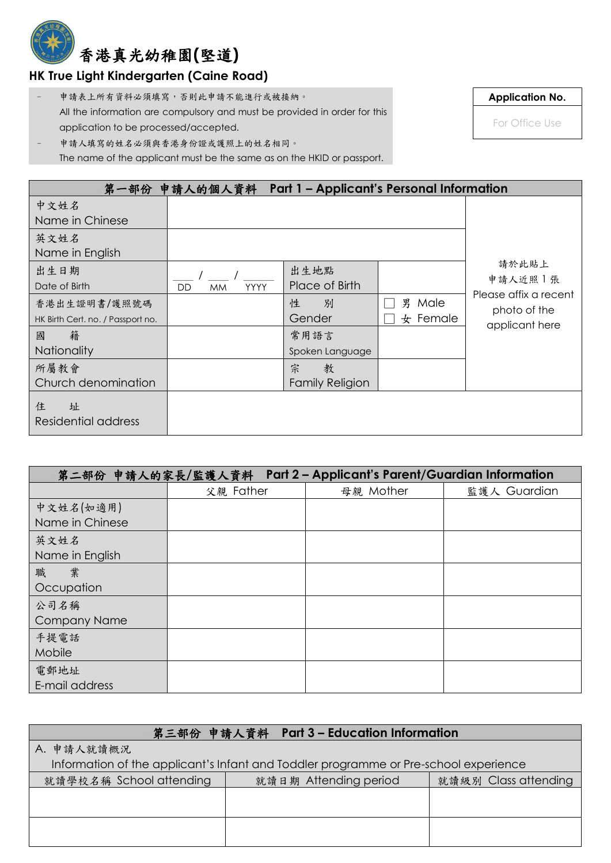## 香港真光幼稚園**(**堅道**)**

## **HK True Light Kindergarten (Caine Road)**

– 申請表上所有資料必須填寫,否則此申請不能進行或被接納。 All the information are compulsory and must be provided in order for this application to be processed/accepted.

**Application No.**

For Office Use

申請人填寫的姓名必須與香港身份證或護照上的姓名相同。 The name of the applicant must be the same as on the HKID or passport.

|                                                   | 第一部份 申請人的個人資料 Part 1 - Applicant's Personal Information |                                  |                           |                                                         |
|---------------------------------------------------|---------------------------------------------------------|----------------------------------|---------------------------|---------------------------------------------------------|
| 中文姓名<br>Name in Chinese                           |                                                         |                                  |                           |                                                         |
| 英文姓名<br>Name in English                           |                                                         |                                  |                           |                                                         |
| 出生日期<br>Date of Birth                             | <b>YYYY</b><br><b>MM</b><br>DD                          | 出生地點<br>Place of Birth           |                           | 請於此貼上<br>申請人近照丨張                                        |
| 香港出生證明書/護照號碼<br>HK Birth Cert. no. / Passport no. |                                                         | 性<br>別<br>Gender                 | Male<br>男<br>$\pm$ Female | Please affix a recent<br>photo of the<br>applicant here |
| 籍<br>國<br><b>Nationality</b>                      |                                                         | 常用語言<br>Spoken Language          |                           |                                                         |
| 所屬教會<br>Church denomination                       |                                                         | 宗<br>教<br><b>Family Religion</b> |                           |                                                         |
| 住<br>址<br>Residential address                     |                                                         |                                  |                           |                                                         |

| 第二部份 申請人的家長/監護人資料 Part 2-Applicant's Parent/Guardian Information |           |           |              |  |
|------------------------------------------------------------------|-----------|-----------|--------------|--|
|                                                                  | 父親 Father | 母親 Mother | 監護人 Guardian |  |
| 中文姓名(如適用)<br>Name in Chinese                                     |           |           |              |  |
| 英文姓名<br>Name in English                                          |           |           |              |  |
| 業<br>職<br>Occupation                                             |           |           |              |  |
| 公司名稱<br><b>Company Name</b>                                      |           |           |              |  |
| 手提電話<br>Mobile                                                   |           |           |              |  |
| 電郵地址<br>E-mail address                                           |           |           |              |  |

| 第三部份 申請人資料 Part 3 - Education Information                                            |                       |                      |  |  |  |
|--------------------------------------------------------------------------------------|-----------------------|----------------------|--|--|--|
| A. 申請人就讀概況                                                                           |                       |                      |  |  |  |
| Information of the applicant's Infant and Toddler programme or Pre-school experience |                       |                      |  |  |  |
| 就讀學校名稱 School attending                                                              | 就讀日期 Attending period | 就讀級別 Class attending |  |  |  |
|                                                                                      |                       |                      |  |  |  |
|                                                                                      |                       |                      |  |  |  |
|                                                                                      |                       |                      |  |  |  |
|                                                                                      |                       |                      |  |  |  |